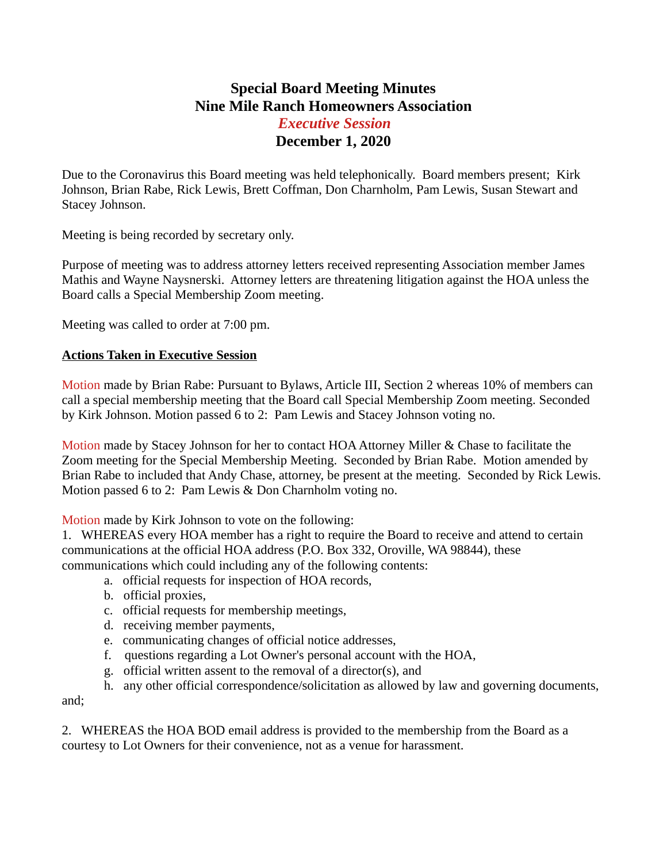## **Special Board Meeting Minutes Nine Mile Ranch Homeowners Association** *Executive Session* **December 1, 2020**

Due to the Coronavirus this Board meeting was held telephonically. Board members present; Kirk Johnson, Brian Rabe, Rick Lewis, Brett Coffman, Don Charnholm, Pam Lewis, Susan Stewart and Stacey Johnson.

Meeting is being recorded by secretary only.

Purpose of meeting was to address attorney letters received representing Association member James Mathis and Wayne Naysnerski. Attorney letters are threatening litigation against the HOA unless the Board calls a Special Membership Zoom meeting.

Meeting was called to order at 7:00 pm.

## **Actions Taken in Executive Session**

Motion made by Brian Rabe: Pursuant to Bylaws, Article III, Section 2 whereas 10% of members can call a special membership meeting that the Board call Special Membership Zoom meeting. Seconded by Kirk Johnson. Motion passed 6 to 2: Pam Lewis and Stacey Johnson voting no.

Motion made by Stacey Johnson for her to contact HOA Attorney Miller & Chase to facilitate the Zoom meeting for the Special Membership Meeting. Seconded by Brian Rabe. Motion amended by Brian Rabe to included that Andy Chase, attorney, be present at the meeting. Seconded by Rick Lewis. Motion passed 6 to 2: Pam Lewis & Don Charnholm voting no.

Motion made by Kirk Johnson to vote on the following:

1. WHEREAS every HOA member has a right to require the Board to receive and attend to certain communications at the official HOA address (P.O. Box 332, Oroville, WA 98844), these communications which could including any of the following contents:

- a. official requests for inspection of HOA records,
- b. official proxies,
- c. official requests for membership meetings,
- d. receiving member payments,
- e. communicating changes of official notice addresses,
- f. questions regarding a Lot Owner's personal account with the HOA,
- g. official written assent to the removal of a director(s), and

h. any other official correspondence/solicitation as allowed by law and governing documents, and;

2. WHEREAS the HOA BOD email address is provided to the membership from the Board as a courtesy to Lot Owners for their convenience, not as a venue for harassment.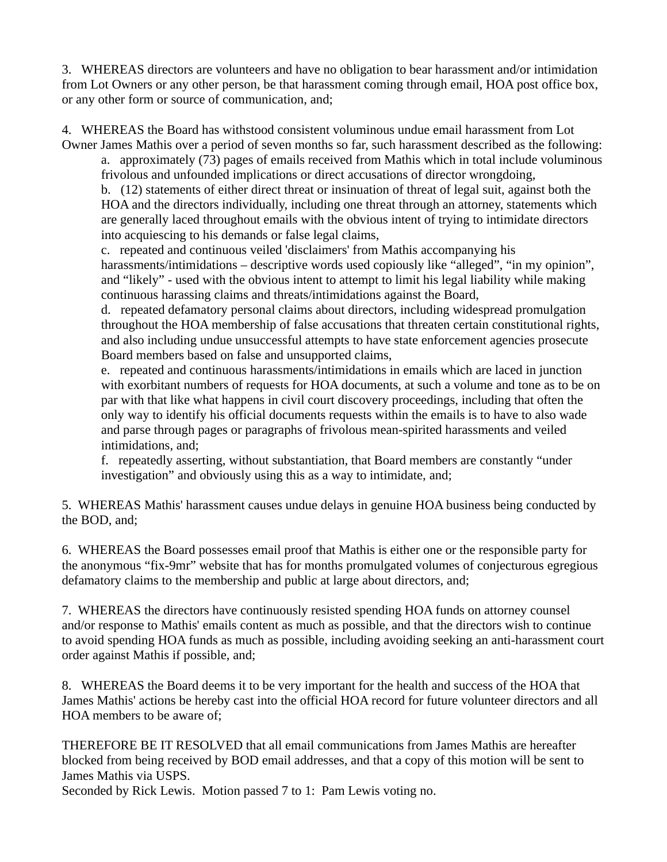3. WHEREAS directors are volunteers and have no obligation to bear harassment and/or intimidation from Lot Owners or any other person, be that harassment coming through email, HOA post office box, or any other form or source of communication, and;

4. WHEREAS the Board has withstood consistent voluminous undue email harassment from Lot Owner James Mathis over a period of seven months so far, such harassment described as the following:

a. approximately (73) pages of emails received from Mathis which in total include voluminous frivolous and unfounded implications or direct accusations of director wrongdoing,

b. (12) statements of either direct threat or insinuation of threat of legal suit, against both the HOA and the directors individually, including one threat through an attorney, statements which are generally laced throughout emails with the obvious intent of trying to intimidate directors into acquiescing to his demands or false legal claims,

c. repeated and continuous veiled 'disclaimers' from Mathis accompanying his harassments/intimidations – descriptive words used copiously like "alleged", "in my opinion", and "likely" - used with the obvious intent to attempt to limit his legal liability while making continuous harassing claims and threats/intimidations against the Board,

d. repeated defamatory personal claims about directors, including widespread promulgation throughout the HOA membership of false accusations that threaten certain constitutional rights, and also including undue unsuccessful attempts to have state enforcement agencies prosecute Board members based on false and unsupported claims,

e. repeated and continuous harassments/intimidations in emails which are laced in junction with exorbitant numbers of requests for HOA documents, at such a volume and tone as to be on par with that like what happens in civil court discovery proceedings, including that often the only way to identify his official documents requests within the emails is to have to also wade and parse through pages or paragraphs of frivolous mean-spirited harassments and veiled intimidations, and;

f. repeatedly asserting, without substantiation, that Board members are constantly "under investigation" and obviously using this as a way to intimidate, and;

5. WHEREAS Mathis' harassment causes undue delays in genuine HOA business being conducted by the BOD, and;

6. WHEREAS the Board possesses email proof that Mathis is either one or the responsible party for the anonymous "fix-9mr" website that has for months promulgated volumes of conjecturous egregious defamatory claims to the membership and public at large about directors, and;

7. WHEREAS the directors have continuously resisted spending HOA funds on attorney counsel and/or response to Mathis' emails content as much as possible, and that the directors wish to continue to avoid spending HOA funds as much as possible, including avoiding seeking an anti-harassment court order against Mathis if possible, and;

8. WHEREAS the Board deems it to be very important for the health and success of the HOA that James Mathis' actions be hereby cast into the official HOA record for future volunteer directors and all HOA members to be aware of;

THEREFORE BE IT RESOLVED that all email communications from James Mathis are hereafter blocked from being received by BOD email addresses, and that a copy of this motion will be sent to James Mathis via USPS.

Seconded by Rick Lewis. Motion passed 7 to 1: Pam Lewis voting no.